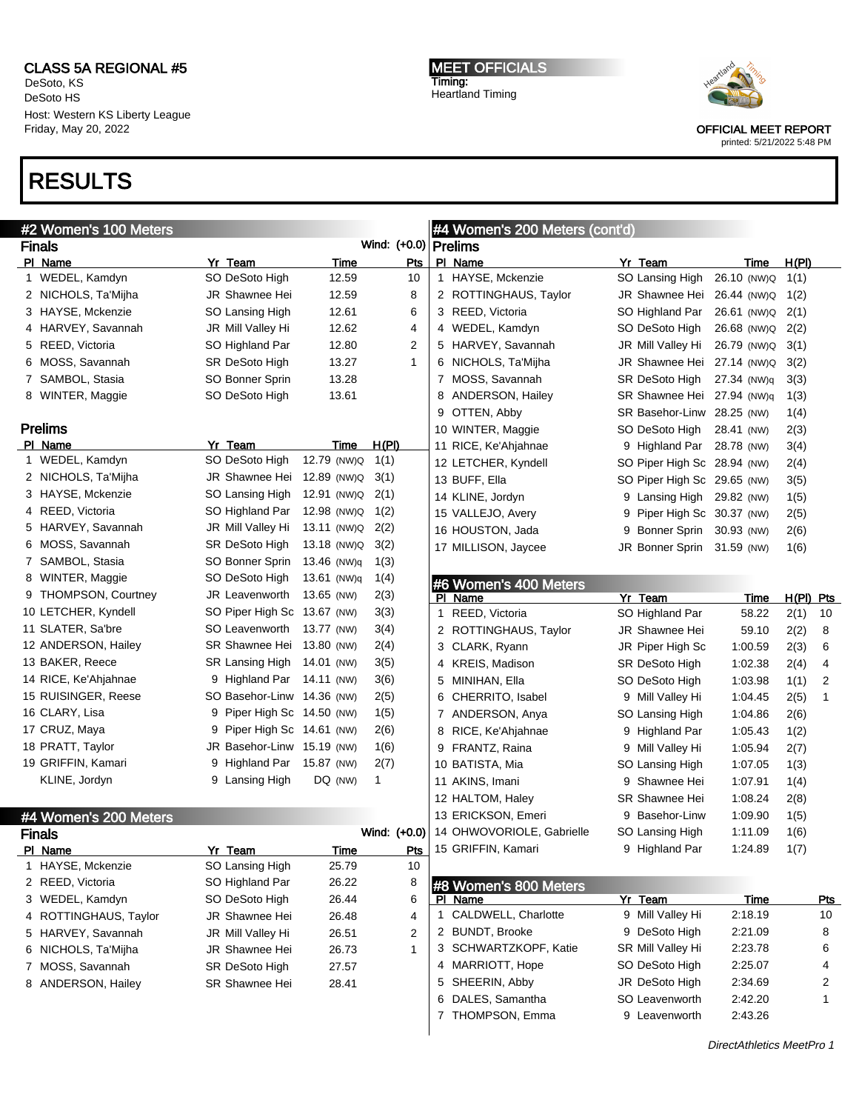DeSoto, KS DeSoto HS Host: Western KS Liberty League Friday, May 20, 2022

### RESULTS

| #2 Women's 100 Meters |                             |             |              |   | #4 Women's 200 Meters (cont'd)   |   |                             |                           |             |                |
|-----------------------|-----------------------------|-------------|--------------|---|----------------------------------|---|-----------------------------|---------------------------|-------------|----------------|
| <b>Finals</b>         |                             |             | Wind: (+0.0) |   | Prelims                          |   |                             |                           |             |                |
| PI Name               | Yr Team                     | <b>Time</b> | Pts          |   | PI Name                          |   | Yr Team                     | Time                      | H(PI)       |                |
| 1 WEDEL, Kamdyn       | SO DeSoto High              | 12.59       | 10           |   | 1 HAYSE, Mckenzie                |   | SO Lansing High             | 26.10 (NW)Q               | 1(1)        |                |
| 2 NICHOLS, Ta'Mijha   | JR Shawnee Hei              | 12.59       | 8            |   | 2 ROTTINGHAUS, Taylor            |   | JR Shawnee Hei              | 26.44 (NW)Q               | 1(2)        |                |
| 3 HAYSE, Mckenzie     | SO Lansing High             | 12.61       | 6            |   | 3 REED, Victoria                 |   | SO Highland Par             | 26.61 (NW)Q               | 2(1)        |                |
| 4 HARVEY, Savannah    | JR Mill Valley Hi           | 12.62       | 4            |   | 4 WEDEL, Kamdyn                  |   | SO DeSoto High              | 26.68 (NW)Q               | 2(2)        |                |
| 5 REED, Victoria      | SO Highland Par             | 12.80       | 2            |   | 5 HARVEY, Savannah               |   | JR Mill Valley Hi           | 26.79 (NW)Q               | 3(1)        |                |
| 6 MOSS, Savannah      | <b>SR DeSoto High</b>       | 13.27       | 1            |   | 6 NICHOLS, Ta'Mijha              |   | JR Shawnee Hei              | 27.14 (NW)Q               | 3(2)        |                |
| 7 SAMBOL, Stasia      | SO Bonner Sprin             | 13.28       |              |   | 7 MOSS, Savannah                 |   | SR DeSoto High              | 27.34 (NW)q               | 3(3)        |                |
| 8 WINTER, Maggie      | SO DeSoto High              | 13.61       |              | 8 | ANDERSON, Hailey                 |   | SR Shawnee Hei 27.94 (NW)q  |                           | 1(3)        |                |
|                       |                             |             |              | 9 | OTTEN, Abby                      |   | SR Basehor-Linw 28.25 (NW)  |                           | 1(4)        |                |
| <b>Prelims</b>        |                             |             |              |   | 10 WINTER, Maggie                |   | SO DeSoto High              | 28.41 (NW)                | 2(3)        |                |
| PI Name               | Yr Team                     | Time        | H(PI)        |   | 11 RICE, Ke'Ahjahnae             |   | 9 Highland Par              | 28.78 (NW)                | 3(4)        |                |
| 1 WEDEL, Kamdyn       | SO DeSoto High              | 12.79 (NW)Q | 1(1)         |   | 12 LETCHER, Kyndell              |   | SO Piper High Sc 28.94 (NW) |                           | 2(4)        |                |
| 2 NICHOLS, Ta'Mijha   | JR Shawnee Hei              | 12.89 (NW)Q | 3(1)         |   | 13 BUFF, Ella                    |   | SO Piper High Sc 29.65 (NW) |                           | 3(5)        |                |
| 3 HAYSE, Mckenzie     | SO Lansing High             | 12.91 (NW)Q | 2(1)         |   | 14 KLINE, Jordyn                 |   | 9 Lansing High              | 29.82 (NW)                | 1(5)        |                |
| 4 REED, Victoria      | SO Highland Par             | 12.98 (NW)Q | 1(2)         |   | 15 VALLEJO, Avery                | 9 | Piper High Sc 30.37 (NW)    |                           | 2(5)        |                |
| 5 HARVEY, Savannah    | JR Mill Valley Hi           | 13.11 (NW)Q | 2(2)         |   | 16 HOUSTON, Jada                 | 9 | Bonner Sprin 30.93 (NW)     |                           | 2(6)        |                |
| 6 MOSS, Savannah      | SR DeSoto High              | 13.18 (NW)Q | 3(2)         |   | 17 MILLISON, Jaycee              |   | JR Bonner Sprin 31.59 (NW)  |                           | 1(6)        |                |
| 7 SAMBOL, Stasia      | SO Bonner Sprin             | 13.46 (NW)q | 1(3)         |   |                                  |   |                             |                           |             |                |
| 8 WINTER, Maggie      | SO DeSoto High              | 13.61 (NW)q | 1(4)         |   |                                  |   |                             |                           |             |                |
| 9 THOMPSON, Courtney  | JR Leavenworth              | 13.65 (NW)  | 2(3)         |   | #6 Women's 400 Meters<br>PI Name |   | Yr Team                     | Time                      | $H(PI)$ Pts |                |
| 10 LETCHER, Kyndell   | SO Piper High Sc 13.67 (NW) |             | 3(3)         |   | 1 REED, Victoria                 |   | SO Highland Par             | 58.22                     | 2(1)        | 10             |
| 11 SLATER, Sa'bre     | SO Leavenworth              | 13.77 (NW)  | 3(4)         |   | 2 ROTTINGHAUS, Taylor            |   | JR Shawnee Hei              | 59.10                     | 2(2)        | 8              |
| 12 ANDERSON, Hailey   | SR Shawnee Hei              | 13.80 (NW)  | 2(4)         |   | 3 CLARK, Ryann                   |   | JR Piper High Sc            | 1:00.59                   | 2(3)        | 6              |
| 13 BAKER, Reece       | <b>SR Lansing High</b>      | 14.01 (NW)  | 3(5)         |   | 4 KREIS, Madison                 |   | SR DeSoto High              | 1:02.38                   |             | 4              |
| 14 RICE, Ke'Ahjahnae  | 9 Highland Par              | 14.11 (NW)  | 3(6)         |   |                                  |   |                             |                           | 2(4)        | $\overline{c}$ |
| 15 RUISINGER, Reese   | SO Basehor-Linw 14.36 (NW)  |             |              |   | 5 MINIHAN, Ella                  |   | SO DeSoto High              | 1:03.98                   | 1(1)        |                |
|                       |                             |             | 2(5)         |   | 6 CHERRITO, Isabel               |   | 9 Mill Valley Hi            | 1:04.45                   | 2(5)        | 1              |
| 16 CLARY, Lisa        | 9 Piper High Sc 14.50 (NW)  |             | 1(5)         |   | 7 ANDERSON, Anya                 |   | SO Lansing High             | 1:04.86                   | 2(6)        |                |
| 17 CRUZ, Maya         | 9 Piper High Sc 14.61 (NW)  |             | 2(6)         |   | 8 RICE, Ke'Ahjahnae              |   | 9 Highland Par              | 1:05.43                   | 1(2)        |                |
| 18 PRATT, Taylor      | JR Basehor-Linw 15.19 (NW)  |             | 1(6)         |   | 9 FRANTZ, Raina                  |   | 9 Mill Valley Hi            | 1:05.94                   | 2(7)        |                |
| 19 GRIFFIN, Kamari    | 9 Highland Par              | 15.87 (NW)  | 2(7)         |   | 10 BATISTA, Mia                  |   | SO Lansing High             | 1:07.05                   | 1(3)        |                |
| KLINE, Jordyn         | 9 Lansing High              | DQ (NW)     | 1            |   | 11 AKINS, Imani                  |   | 9 Shawnee Hei               | 1:07.91                   | 1(4)        |                |
|                       |                             |             |              |   | 12 HALTOM, Haley                 |   | SR Shawnee Hei              | 1:08.24                   | 2(8)        |                |
| #4 Women's 200 Meters |                             |             |              |   | 13 ERICKSON, Emeri               |   | 9 Basehor-Linw              | 1:09.90                   | 1(5)        |                |
| <b>Finals</b>         |                             |             | Wind: (+0.0) |   | 14 OHWOVORIOLE, Gabrielle        |   | SO Lansing High             | 1:11.09                   | 1(6)        |                |
| PI Name               | Yr Team                     | <u>Time</u> | Pts          |   | 15 GRIFFIN, Kamari               |   | 9 Highland Par              | 1:24.89                   | 1(7)        |                |
| 1 HAYSE, Mckenzie     | SO Lansing High             | 25.79       | 10           |   |                                  |   |                             |                           |             |                |
| 2 REED, Victoria      | SO Highland Par             | 26.22       | 8            |   | #8 Women's 800 Meters            |   |                             |                           |             |                |
| 3 WEDEL, Kamdyn       | SO DeSoto High              | 26.44       | 6            |   | PI Name                          |   | Yr Team                     | Time                      |             | <u>Pts</u>     |
| 4 ROTTINGHAUS, Taylor | JR Shawnee Hei              | 26.48       | 4            |   | 1 CALDWELL, Charlotte            |   | 9 Mill Valley Hi            | 2:18.19                   |             | 10             |
| 5 HARVEY, Savannah    | JR Mill Valley Hi           | 26.51       | 2            |   | 2 BUNDT, Brooke                  |   | 9 DeSoto High               | 2:21.09                   |             | 8              |
| 6 NICHOLS, Ta'Mijha   | JR Shawnee Hei              | 26.73       | $\mathbf{1}$ |   | 3 SCHWARTZKOPF, Katie            |   | SR Mill Valley Hi           | 2:23.78                   |             | 6              |
| 7 MOSS, Savannah      | SR DeSoto High              | 27.57       |              |   | 4 MARRIOTT, Hope                 |   | SO DeSoto High              | 2:25.07                   |             | 4              |
| 8 ANDERSON, Hailey    | SR Shawnee Hei              | 28.41       |              |   | 5 SHEERIN, Abby                  |   | JR DeSoto High              | 2:34.69                   |             | 2              |
|                       |                             |             |              |   | 6 DALES, Samantha                |   | SO Leavenworth              | 2:42.20                   |             | 1              |
|                       |                             |             |              |   | 7 THOMPSON, Emma                 |   | 9 Leavenworth               | 2:43.26                   |             |                |
|                       |                             |             |              |   |                                  |   |                             | DirectAthletics MeetPro 1 |             |                |

MEET OFFICIALS Timing: Heartland Timing



OFFICIAL MEET REPORT printed: 5/21/2022 5:48 PM

DirectAthletics MeetPro 1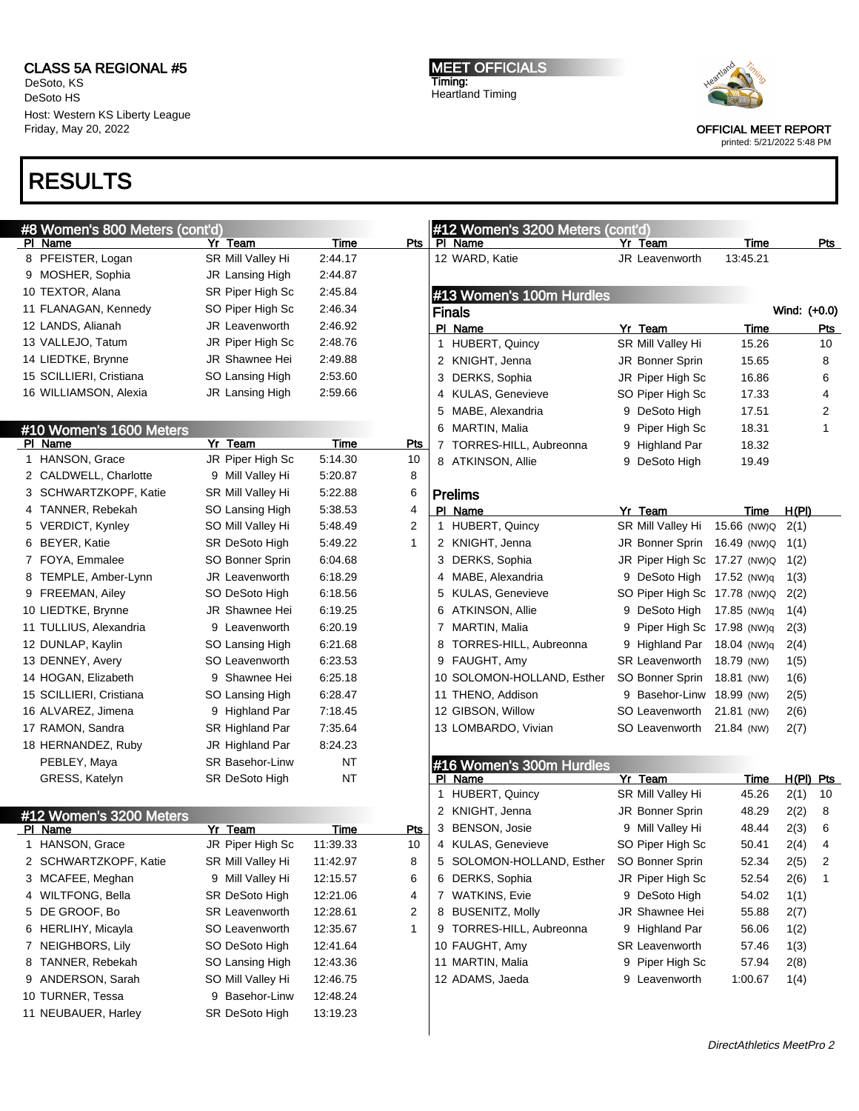DeSoto, KS DeSoto HS Host: Western KS Liberty League Friday, May 20, 2022

### RESULTS

#### #8 Women's 800 Meters (cont'd) Pl Name Yr Team Time Pts

|    | 8 PFEISTER, Logan       | SR Mill Valley Hi      | 2:44.17   |                |
|----|-------------------------|------------------------|-----------|----------------|
|    | 9 MOSHER, Sophia        | JR Lansing High        | 2:44.87   |                |
|    | 10 TEXTOR, Alana        | SR Piper High Sc       | 2:45.84   |                |
|    | 11 FLANAGAN, Kennedy    | SO Piper High Sc       | 2:46.34   |                |
|    | 12 LANDS, Alianah       | JR Leavenworth         | 2:46.92   |                |
|    | 13 VALLEJO, Tatum       | JR Piper High Sc       | 2:48.76   |                |
|    | 14 LIEDTKE, Brynne      | JR Shawnee Hei         | 2:49.88   |                |
|    | 15 SCILLIERI, Cristiana | SO Lansing High        | 2:53.60   |                |
|    | 16 WILLIAMSON, Alexia   | JR Lansing High        | 2:59.66   |                |
|    |                         |                        |           |                |
|    | #10 Women's 1600 Meters |                        |           |                |
| PI | Name                    | Yr Team                | Time      | Pts            |
| 1  | HANSON, Grace           | JR Piper High Sc       | 5:14.30   | 10             |
|    | 2 CALDWELL, Charlotte   | 9 Mill Valley Hi       | 5:20.87   | 8              |
|    | 3 SCHWARTZKOPF, Katie   | SR Mill Valley Hi      | 5:22.88   | 6              |
|    | 4 TANNER, Rebekah       | SO Lansing High        | 5.38.53   | 4              |
|    | 5 VERDICT, Kynley       | SO Mill Valley Hi      | 5.48.49   | $\overline{2}$ |
|    | 6 BEYER, Katie          | SR DeSoto High         | 5:49.22   | 1              |
|    | 7 FOYA, Emmalee         | SO Bonner Sprin        | 6:04.68   |                |
| 8  | TEMPLE, Amber-Lynn      | JR Leavenworth         | 6:18.29   |                |
|    | 9 FREEMAN, Ailey        | SO DeSoto High         | 6:18.56   |                |
|    | 10 LIEDTKE, Brynne      | JR Shawnee Hei         | 6:19.25   |                |
|    | 11 TULLIUS, Alexandria  | 9 Leavenworth          | 6:20.19   |                |
|    | 12 DUNLAP, Kaylin       | SO Lansing High        | 6:21.68   |                |
|    | 13 DENNEY, Avery        | SO Leavenworth         | 6:23.53   |                |
|    | 14 HOGAN, Elizabeth     | 9 Shawnee Hei          | 6:25.18   |                |
|    | 15 SCILLIERI, Cristiana | SO Lansing High        | 6:28.47   |                |
|    | 16 ALVAREZ, Jimena      | 9 Highland Par         | 7:18.45   |                |
|    | 17 RAMON, Sandra        | SR Highland Par        | 7:35.64   |                |
|    | 18 HERNANDEZ, Ruby      | JR Highland Par        | 8:24.23   |                |
|    | PEBLEY, Maya            | <b>SR Basehor-Linw</b> | NT        |                |
|    | GRESS, Katelyn          | <b>SR DeSoto High</b>  | <b>NT</b> |                |
|    |                         |                        |           |                |

### #12 Women's 3200 Meters

| ΡI | Name                  | Team<br>Yr            | Time     | Pts |
|----|-----------------------|-----------------------|----------|-----|
| 1. | <b>HANSON, Grace</b>  | JR Piper High Sc      | 11:39.33 | 10  |
|    | 2 SCHWARTZKOPF, Katie | SR Mill Valley Hi     | 11:42.97 | 8   |
|    | 3 MCAFEE, Meghan      | 9 Mill Valley Hi      | 12:15.57 | 6   |
|    | 4 WILTFONG, Bella     | <b>SR DeSoto High</b> | 12:21.06 | 4   |
|    | 5 DE GROOF, Bo        | <b>SR Leavenworth</b> | 12:28.61 | 2   |
|    | 6 HERLIHY, Micayla    | SO Leavenworth        | 12:35.67 | 1   |
|    | 7 NEIGHBORS, Lily     | SO DeSoto High        | 12:41.64 |     |
|    | 8 TANNER, Rebekah     | SO Lansing High       | 12:43.36 |     |
|    | 9 ANDERSON, Sarah     | SO Mill Valley Hi     | 12:46.75 |     |
|    | 10 TURNER, Tessa      | 9 Basehor-Linw        | 12:48.24 |     |
|    | 11 NEUBAUER, Harley   | <b>SR DeSoto High</b> | 13:19.23 |     |

MEET OFFICIALS Timing: Heartland Timing



OFFICIAL MEET REPORT

printed: 5/21/2022 5:48 PM

| #12 Women's 3200 Meters (cont'd) |                        |             |              |                  |
|----------------------------------|------------------------|-------------|--------------|------------------|
| PI Name                          | Yr Team                | <u>Time</u> |              | Pts              |
| 12 WARD, Katie                   | <b>JR</b> Leavenworth  | 13:45.21    |              |                  |
|                                  |                        |             |              |                  |
| #13 Women's 100m Hurdles         |                        |             |              |                  |
| Finals                           |                        |             |              | Wind: (+0.0)     |
| PI Name                          | Yr Team                | Time        |              | Pts              |
| <b>HUBERT, Quincy</b><br>1       | SR Mill Valley Hi      | 15.26       |              | 10               |
| 2 KNIGHT, Jenna                  | JR Bonner Sprin        | 15.65       |              | 8                |
| 3<br>DERKS, Sophia               | JR Piper High Sc       | 16.86       |              | 6                |
| 4 KULAS, Genevieve               | SO Piper High Sc       | 17.33       |              | 4                |
| 5 MABE, Alexandria               | 9 DeSoto High          | 17.51       |              | 2                |
| 6 MARTIN, Malia                  | 9 Piper High Sc        | 18.31       |              | 1                |
| TORRES-HILL, Aubreonna<br>7      | 9 Highland Par         | 18.32       |              |                  |
| 8 ATKINSON, Allie                | 9 DeSoto High          | 19.49       |              |                  |
|                                  |                        |             |              |                  |
| Prelims                          |                        |             |              |                  |
| PI Name                          | Yr Team                | <u>Time</u> | <u>H(PI)</u> |                  |
| HUBERT, Quincy<br>$\mathbf 1$    | SR Mill Valley Hi      | 15.66 (NW)Q | 2(1)         |                  |
| 2 KNIGHT, Jenna                  | <b>JR Bonner Sprin</b> | 16.49 (NW)Q | 1(1)         |                  |
| 3 DERKS, Sophia                  | JR Piper High Sc       | 17.27 (NW)Q | 1(2)         |                  |
| 4 MABE, Alexandria               | 9 DeSoto High          | 17.52 (NW)q | 1(3)         |                  |
| 5 KULAS, Genevieve               | SO Piper High Sc       | 17.78 (NW)Q | 2(2)         |                  |
| 6 ATKINSON, Allie                | 9 DeSoto High          | 17.85 (NW)q | 1(4)         |                  |
| 7 MARTIN, Malia                  | 9 Piper High Sc        | 17.98 (NW)q | 2(3)         |                  |
| TORRES-HILL, Aubreonna<br>8      | 9 Highland Par         | 18.04 (NW)q | 2(4)         |                  |
| 9 FAUGHT, Amy                    | <b>SR Leavenworth</b>  | 18.79 (NW)  | 1(5)         |                  |
| 10 SOLOMON-HOLLAND, Esther       | SO Bonner Sprin        | 18.81 (NW)  | 1(6)         |                  |
| 11 THENO, Addison                | 9 Basehor-Linw         | 18.99 (NW)  | 2(5)         |                  |
| 12 GIBSON, Willow                | SO Leavenworth         | 21.81 (NW)  | 2(6)         |                  |
| 13 LOMBARDO, Vivian              | SO Leavenworth         | 21.84 (NW)  | 2(7)         |                  |
|                                  |                        |             |              |                  |
| #16 Women's 300m Hurdles         |                        |             |              |                  |
| PI Name                          | <u>Yr Team</u>         | <u>Time</u> |              | <u>H(PI) Pts</u> |
| 1.<br><b>HUBERT, Quincy</b>      | SR Mill Valley Hi      | 45.26       | 2(1)         | 10               |
| 2 KNIGHT, Jenna                  | JR Bonner Sprin        | 48.29       | 2(2)         | 8                |
| 3<br><b>BENSON, Josie</b>        | 9 Mill Valley Hi       | 48.44       | 2(3)         | 6                |
| 4 KULAS, Genevieve               | SO Piper High Sc       | 50.41       | 2(4)         | 4                |
| 5 SOLOMON-HOLLAND, Esther        | SO Bonner Sprin        | 52.34       | 2(5)         | 2                |
| 6 DERKS, Sophia                  | JR Piper High Sc       | 52.54       | 2(6)         | 1                |
| 7 WATKINS, Evie                  | 9 DeSoto High          | 54.02       | 1(1)         |                  |
| <b>BUSENITZ, Molly</b><br>8      | JR Shawnee Hei         | 55.88       | 2(7)         |                  |
| TORRES-HILL, Aubreonna<br>9      | 9 Highland Par         | 56.06       | 1(2)         |                  |
| 10 FAUGHT, Amy                   | <b>SR Leavenworth</b>  | 57.46       | 1(3)         |                  |

11 MARTIN, Malia **9 Piper High Sc** 57.94 2(8) ADAMS, Jaeda 9 Leavenworth 1:00.67 1(4)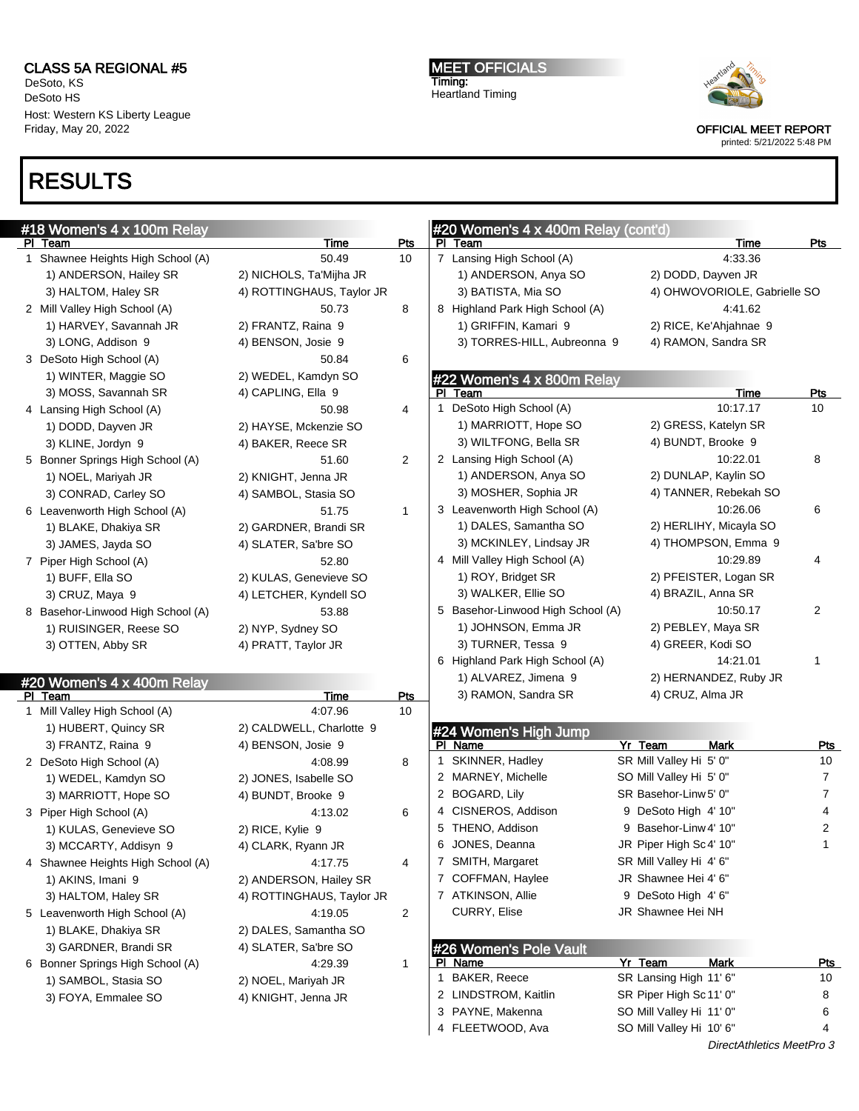DeSoto, KS DeSoto HS Host: Western KS Liberty League Friday, May 20, 2022

# RESULTS

MEET OFFICIALS Timing: Heartland Timing



OFFICIAL MEET REPORT

| #18 Women's 4 x 100m Relay        |                           |                |   | #20 Women's 4 x 400m Relay (cont'd) |                          |                              |                |
|-----------------------------------|---------------------------|----------------|---|-------------------------------------|--------------------------|------------------------------|----------------|
| PI Team                           | Time                      | Pts            |   | PI Team                             |                          | Time                         | <u>Pts</u>     |
| 1 Shawnee Heights High School (A) | 50.49                     | 10             |   | 7 Lansing High School (A)           |                          | 4:33.36                      |                |
| 1) ANDERSON, Hailey SR            | 2) NICHOLS, Ta'Mijha JR   |                |   | 1) ANDERSON, Anya SO                | 2) DODD, Dayven JR       |                              |                |
| 3) HALTOM, Haley SR               | 4) ROTTINGHAUS, Taylor JR |                |   | 3) BATISTA, Mia SO                  |                          | 4) OHWOVORIOLE, Gabrielle SO |                |
| 2 Mill Valley High School (A)     | 50.73                     | 8              |   | 8 Highland Park High School (A)     |                          | 4:41.62                      |                |
| 1) HARVEY, Savannah JR            | 2) FRANTZ, Raina 9        |                |   | 1) GRIFFIN, Kamari 9                |                          | 2) RICE, Ke'Ahjahnae 9       |                |
| 3) LONG, Addison 9                | 4) BENSON, Josie 9        |                |   | 3) TORRES-HILL, Aubreonna 9         |                          | 4) RAMON, Sandra SR          |                |
| 3 DeSoto High School (A)          | 50.84                     | 6              |   |                                     |                          |                              |                |
| 1) WINTER, Maggie SO              | 2) WEDEL, Kamdyn SO       |                |   | #22 Women's 4 x 800m Relay          |                          |                              |                |
| 3) MOSS, Savannah SR              | 4) CAPLING, Ella 9        |                |   | PI Team                             |                          | Time                         | <b>Pts</b>     |
| 4 Lansing High School (A)         | 50.98                     | 4              |   | 1 DeSoto High School (A)            |                          | 10:17.17                     | 10             |
| 1) DODD, Dayven JR                | 2) HAYSE, Mckenzie SO     |                |   | 1) MARRIOTT, Hope SO                |                          | 2) GRESS, Katelyn SR         |                |
| 3) KLINE, Jordyn 9                | 4) BAKER, Reece SR        |                |   | 3) WILTFONG, Bella SR               | 4) BUNDT, Brooke 9       |                              |                |
| 5 Bonner Springs High School (A)  | 51.60                     | $\overline{c}$ |   | 2 Lansing High School (A)           |                          | 10:22.01                     | 8              |
| 1) NOEL, Mariyah JR               | 2) KNIGHT, Jenna JR       |                |   | 1) ANDERSON, Anya SO                |                          | 2) DUNLAP, Kaylin SO         |                |
| 3) CONRAD, Carley SO              | 4) SAMBOL, Stasia SO      |                |   | 3) MOSHER, Sophia JR                |                          | 4) TANNER, Rebekah SO        |                |
| 6 Leavenworth High School (A)     | 51.75                     | $\mathbf{1}$   |   | 3 Leavenworth High School (A)       |                          | 10:26.06                     | 6              |
| 1) BLAKE, Dhakiya SR              | 2) GARDNER, Brandi SR     |                |   | 1) DALES, Samantha SO               |                          | 2) HERLIHY, Micayla SO       |                |
| 3) JAMES, Jayda SO                | 4) SLATER, Sa'bre SO      |                |   | 3) MCKINLEY, Lindsay JR             |                          | 4) THOMPSON, Emma 9          |                |
| 7 Piper High School (A)           | 52.80                     |                |   | 4 Mill Valley High School (A)       |                          | 10:29.89                     | 4              |
| 1) BUFF, Ella SO                  | 2) KULAS, Genevieve SO    |                |   | 1) ROY, Bridget SR                  |                          | 2) PFEISTER, Logan SR        |                |
| 3) CRUZ, Maya 9                   | 4) LETCHER, Kyndell SO    |                |   | 3) WALKER, Ellie SO                 | 4) BRAZIL, Anna SR       |                              |                |
| 8 Basehor-Linwood High School (A) | 53.88                     |                |   | 5 Basehor-Linwood High School (A)   |                          | 10:50.17                     | $\overline{c}$ |
| 1) RUISINGER, Reese SO            | 2) NYP, Sydney SO         |                |   | 1) JOHNSON, Emma JR                 | 2) PEBLEY, Maya SR       |                              |                |
| 3) OTTEN, Abby SR                 | 4) PRATT, Taylor JR       |                |   | 3) TURNER, Tessa 9                  | 4) GREER, Kodi SO        |                              |                |
|                                   |                           |                |   | 6 Highland Park High School (A)     |                          | 14:21.01                     | 1              |
| #20 Women's 4 x 400m Relay        |                           |                |   | 1) ALVAREZ, Jimena 9                |                          | 2) HERNANDEZ, Ruby JR        |                |
| PI Team                           | Time                      | <b>Pts</b>     |   | 3) RAMON, Sandra SR                 | 4) CRUZ, Alma JR         |                              |                |
| 1 Mill Valley High School (A)     | 4:07.96                   | 10             |   |                                     |                          |                              |                |
| 1) HUBERT, Quincy SR              | 2) CALDWELL, Charlotte 9  |                |   | #24 Women's High Jump               |                          |                              |                |
| 3) FRANTZ, Raina 9                | 4) BENSON, Josie 9        |                |   | PI Name                             | Yr Team                  | <b>Mark</b>                  | <u>Pts</u>     |
| 2 DeSoto High School (A)          | 4:08.99                   | 8              |   | 1 SKINNER, Hadley                   | SR Mill Valley Hi 5' 0"  |                              | 10             |
| 1) WEDEL, Kamdyn SO               | 2) JONES, Isabelle SO     |                |   | 2 MARNEY, Michelle                  | SO Mill Valley Hi 5' 0"  |                              | 7              |
| 3) MARRIOTT, Hope SO              | 4) BUNDT, Brooke 9        |                |   | 2 BOGARD, Lily                      | SR Basehor-Linw 5' 0"    |                              | $\overline{7}$ |
| 3 Piper High School (A)           | 4:13.02                   | 6              |   | 4 CISNEROS, Addison                 | 9 DeSoto High 4' 10"     |                              | 4              |
| 1) KULAS, Genevieve SO            | 2) RICE, Kylie 9          |                |   | 5 THENO, Addison                    | 9 Basehor-Linw 4' 10"    |                              | 2              |
| 3) MCCARTY, Addisyn 9             | 4) CLARK, Ryann JR        |                |   | 6 JONES, Deanna                     | JR Piper High Sc4' 10"   |                              | 1              |
| 4 Shawnee Heights High School (A) | 4:17.75                   | 4              |   | 7 SMITH, Margaret                   | SR Mill Valley Hi 4' 6"  |                              |                |
| 1) AKINS, Imani 9                 | 2) ANDERSON, Hailey SR    |                |   | 7 COFFMAN, Haylee                   | JR Shawnee Hei 4' 6"     |                              |                |
| 3) HALTOM, Haley SR               | 4) ROTTINGHAUS, Taylor JR |                |   | 7 ATKINSON, Allie                   | 9 DeSoto High 4' 6"      |                              |                |
| 5 Leavenworth High School (A)     | 4:19.05                   | 2              |   | CURRY, Elise                        | JR Shawnee Hei NH        |                              |                |
| 1) BLAKE, Dhakiya SR              | 2) DALES, Samantha SO     |                |   |                                     |                          |                              |                |
| 3) GARDNER, Brandi SR             | 4) SLATER, Sa'bre SO      |                |   | #26 Women's Pole Vault              |                          |                              |                |
| 6 Bonner Springs High School (A)  | 4:29.39                   | $\mathbf{1}$   |   | PI Name                             | Yr Team                  | <b>Mark</b>                  | <u>Pts</u>     |
| 1) SAMBOL, Stasia SO              | 2) NOEL, Mariyah JR       |                | 1 | BAKER, Reece                        | SR Lansing High 11' 6"   |                              | 10             |
| 3) FOYA, Emmalee SO               | 4) KNIGHT, Jenna JR       |                |   | 2 LINDSTROM, Kaitlin                | SR Piper High Sc 11' 0"  |                              | 8              |
|                                   |                           |                |   | 3 PAYNE, Makenna                    | SO Mill Valley Hi 11' 0" |                              | 6              |
|                                   |                           |                |   | 4 FLEETWOOD, Ava                    | SO Mill Valley Hi 10' 6" |                              | 4              |
|                                   |                           |                |   |                                     |                          | DirectAthletics MeetPro 3    |                |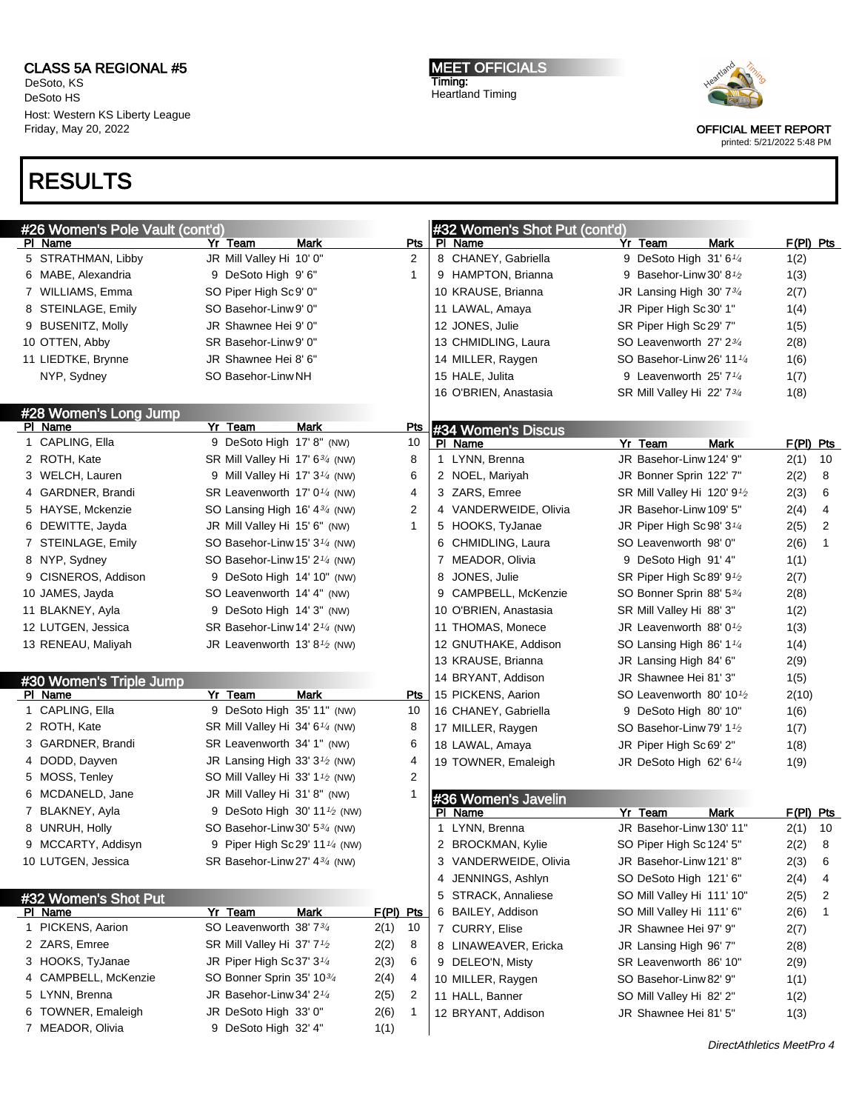DeSoto, KS DeSoto HS Host: Western KS Liberty League Friday, May 20, 2022

### RESULTS

MEET OFFICIALS Timing: Heartland Timing



OFFICIAL MEET REPORT

| #26 Women's Pole Vault (cont'd) |                                                          |             |                  |              | #32 Women's Shot Put (cont'd) |                                          |             |              |
|---------------------------------|----------------------------------------------------------|-------------|------------------|--------------|-------------------------------|------------------------------------------|-------------|--------------|
| PI Name                         | Yr Team                                                  | Mark        |                  | Pts          | PI Name                       | Yr Team<br><b>Mark</b>                   | $F(PI)$ Pts |              |
| 5 STRATHMAN, Libby              | JR Mill Valley Hi 10' 0"                                 |             |                  | 2            | 8 CHANEY, Gabriella           | 9 DeSoto High 31' 6 <sup>1/4</sup>       | 1(2)        |              |
| 6 MABE, Alexandria              | 9 DeSoto High 9'6"                                       |             |                  | $\mathbf{1}$ | 9 HAMPTON, Brianna            | 9 Basehor-Linw 30' 8 <sup>1</sup> /2     | 1(3)        |              |
| 7 WILLIAMS, Emma                | SO Piper High Sc9' 0"                                    |             |                  |              | 10 KRAUSE, Brianna            | JR Lansing High 30' 734                  | 2(7)        |              |
| 8 STEINLAGE, Emily              | SO Basehor-Linw 9' 0"                                    |             |                  |              | 11 LAWAL, Amaya               | JR Piper High Sc 30' 1"                  | 1(4)        |              |
| 9 BUSENITZ, Molly               | JR Shawnee Hei 9' 0"                                     |             |                  |              | 12 JONES, Julie               | SR Piper High Sc29' 7"                   | 1(5)        |              |
| 10 OTTEN, Abby                  | SR Basehor-Linw 9' 0"                                    |             |                  |              | 13 CHMIDLING, Laura           | SO Leavenworth 27' 23/4                  | 2(8)        |              |
| 11 LIEDTKE, Brynne              | JR Shawnee Hei 8' 6"                                     |             |                  |              | 14 MILLER, Raygen             | SO Basehor-Linw 26' 11 <sup>1/4</sup>    | 1(6)        |              |
| NYP, Sydney                     | SO Basehor-Linw NH                                       |             |                  |              | 15 HALE, Julita               | 9 Leavenworth 25' $7\frac{1}{4}$         | 1(7)        |              |
|                                 |                                                          |             |                  |              | 16 O'BRIEN, Anastasia         | SR Mill Valley Hi 22' 73/4               | 1(8)        |              |
| #28 Women's Long Jump           |                                                          |             |                  |              |                               |                                          |             |              |
| PI Name                         | Yr Team                                                  | <b>Mark</b> |                  | <u>Pts</u>   | #34 Women's Discus            |                                          |             |              |
| 1 CAPLING, Ella                 | 9 DeSoto High 17' 8" (NW)                                |             |                  | 10           | PI Name                       | Yr Team<br><b>Mark</b>                   | $F(PI)$ Pts |              |
| 2 ROTH, Kate                    | SR Mill Valley Hi 17' 6 <sup>3/4</sup> (NW)              |             |                  | 8            | LYNN, Brenna<br>1             | JR Basehor-Linw 124' 9"                  | 2(1)        | 10           |
| 3 WELCH, Lauren                 | 9 Mill Valley Hi 17' $3\frac{1}{4}$ (NW)                 |             |                  | 6            | 2 NOEL, Mariyah               | JR Bonner Sprin 122' 7"                  | 2(2)        | 8            |
| 4 GARDNER, Brandi               | SR Leavenworth 17' 0 <sup>1/4</sup> (NW)                 |             |                  | 4            | 3 ZARS, Emree                 | SR Mill Valley Hi 120' 9 <sup>1</sup> /2 | 2(3)        | 6            |
| 5 HAYSE, Mckenzie               | SO Lansing High 16' 43/4 (NW)                            |             |                  | 2            | 4 VANDERWEIDE, Olivia         | JR Basehor-Linw 109' 5"                  | 2(4)        | 4            |
| 6 DEWITTE, Jayda                | JR Mill Valley Hi 15' 6" (NW)                            |             |                  | 1            | 5 HOOKS, TyJanae              | JR Piper High Sc 98' 3 <sup>1/4</sup>    | 2(5)        | 2            |
| 7 STEINLAGE, Emily              | SO Basehor-Linw 15' 3 <sup>1/4</sup> (NW)                |             |                  |              | 6 CHMIDLING, Laura            | SO Leavenworth 98'0"                     | 2(6)        | $\mathbf{1}$ |
| 8 NYP, Sydney                   | SO Basehor-Linw 15' 2 <sup>1/4</sup> (NW)                |             |                  |              | 7 MEADOR, Olivia              | 9 DeSoto High 91' 4"                     | 1(1)        |              |
| 9 CISNEROS, Addison             | 9 DeSoto High 14' 10" (NW)                               |             |                  |              | JONES, Julie<br>8             | SR Piper High Sc 89' 9 <sup>1</sup> /2   | 2(7)        |              |
| 10 JAMES, Jayda                 | SO Leavenworth 14' 4" (NW)                               |             |                  |              | 9 CAMPBELL, McKenzie          | SO Bonner Sprin 88' 53/4                 | 2(8)        |              |
| 11 BLAKNEY, Ayla                | 9 DeSoto High 14' 3" (NW)                                |             |                  |              | 10 O'BRIEN, Anastasia         | SR Mill Valley Hi 88' 3"                 | 1(2)        |              |
| 12 LUTGEN, Jessica              | SR Basehor-Linw 14' 2 <sup>1/4</sup> (NW)                |             |                  |              | 11 THOMAS, Monece             | JR Leavenworth 88' $0\frac{1}{2}$        | 1(3)        |              |
| 13 RENEAU, Maliyah              | JR Leavenworth 13' 8 $1/2$ (NW)                          |             |                  |              | 12 GNUTHAKE, Addison          | SO Lansing High 86' 1 <sup>1/4</sup>     | 1(4)        |              |
|                                 |                                                          |             |                  |              | 13 KRAUSE, Brianna            | JR Lansing High 84' 6"                   | 2(9)        |              |
| #30 Women's Triple Jump         |                                                          |             |                  |              | 14 BRYANT, Addison            | JR Shawnee Hei 81' 3"                    | 1(5)        |              |
| PI Name                         | Yr Team                                                  | Mark        |                  | Pts          | 15 PICKENS, Aarion            | SO Leavenworth 80' 10 $\frac{1}{2}$      | 2(10)       |              |
| 1 CAPLING, Ella                 | 9 DeSoto High 35' 11" (NW)                               |             |                  | 10           | 16 CHANEY, Gabriella          | 9 DeSoto High 80' 10"                    | 1(6)        |              |
| 2 ROTH, Kate                    | SR Mill Valley Hi 34' 6 <sup>1/4</sup> (NW)              |             |                  | 8            | 17 MILLER, Raygen             | SO Basehor-Linw 79' 1 <sup>1</sup> /2    | 1(7)        |              |
| 3 GARDNER, Brandi               | SR Leavenworth 34' 1" (NW)                               |             |                  | 6            | 18 LAWAL, Amaya               | JR Piper High Sc69' 2"                   | 1(8)        |              |
| 4 DODD, Dayven                  | JR Lansing High 33' $3\frac{1}{2}$ (NW)                  |             |                  | 4            | 19 TOWNER, Emaleigh           | JR DeSoto High 62' 61/4                  | 1(9)        |              |
| 5 MOSS, Tenley                  | SO Mill Valley Hi 33' 1 <sup>1</sup> / <sub>2</sub> (NW) |             |                  | 2            |                               |                                          |             |              |
| 6 MCDANELD, Jane                | JR Mill Valley Hi 31'8" (NW)                             |             |                  |              | #36 Women's Javelin           |                                          |             |              |
| 7 BLAKNEY, Ayla                 | 9 DeSoto High 30' 11 <sup>1</sup> / <sub>2</sub> (NW)    |             |                  |              | PI Name                       | Yr Team<br>Mark                          | F(PI) Pts   |              |
| 8 UNRUH, Holly                  | SO Basehor-Linw 30' 5 <sup>3/4</sup> (NW)                |             |                  |              | LYNN, Brenna<br>1.            | JR Basehor-Linw 130' 11"                 | 2(1)        | 10           |
| 9 MCCARTY, Addisyn              | 9 Piper High Sc 29' 11 <sup>1/4</sup> (NW)               |             |                  |              | 2 BROCKMAN, Kylie             | SO Piper High Sc 124' 5"                 | 2(2)        | - 8          |
| 10 LUTGEN, Jessica              | SR Basehor-Linw 27' 4 <sup>3/4</sup> (NW)                |             |                  |              | 3 VANDERWEIDE, Olivia         | JR Basehor-Linw 121' 8"                  | 2(3)        | 6            |
|                                 |                                                          |             |                  |              | JENNINGS, Ashlyn<br>4         | SO DeSoto High 121' 6"                   | 2(4)        | 4            |
| #32 Women's Shot Put            |                                                          |             |                  |              | 5 STRACK, Annaliese           | SO Mill Valley Hi 111' 10"               | 2(5)        | 2            |
| PI Name                         | Yr Team                                                  | <b>Mark</b> | <u>F(PI) Pts</u> |              | BAILEY, Addison<br>6          | SO Mill Valley Hi 111'6"                 | 2(6)        | 1            |
| 1 PICKENS, Aarion               | SO Leavenworth 38' 734                                   |             | 2(1)             | 10           | 7 CURRY, Elise                | JR Shawnee Hei 97' 9"                    | 2(7)        |              |
| 2 ZARS, Emree                   | SR Mill Valley Hi 37' 7 <sup>1</sup> /2                  |             | 2(2)             | 8            | 8 LINAWEAVER, Ericka          | JR Lansing High 96' 7"                   | 2(8)        |              |
| 3 HOOKS, TyJanae                | JR Piper High Sc37' 3 <sup>1/4</sup>                     |             | 2(3)             | 6            | 9 DELEO'N, Misty              | SR Leavenworth 86' 10"                   | 2(9)        |              |
| 4 CAMPBELL, McKenzie            | SO Bonner Sprin 35' 103/4                                |             | 2(4)             | 4            | 10 MILLER, Raygen             | SO Basehor-Linw 82' 9"                   | 1(1)        |              |
| 5 LYNN, Brenna                  | JR Basehor-Linw 34' 2 <sup>1/4</sup>                     |             | 2(5)             | 2            | 11 HALL, Banner               | SO Mill Valley Hi 82' 2"                 | 1(2)        |              |
| 6 TOWNER, Emaleigh              | JR DeSoto High 33' 0"                                    |             | 2(6)             | $\mathbf{1}$ | 12 BRYANT, Addison            | JR Shawnee Hei 81' 5"                    | 1(3)        |              |
| 7 MEADOR, Olivia                | 9 DeSoto High 32' 4"                                     |             | 1(1)             |              |                               |                                          |             |              |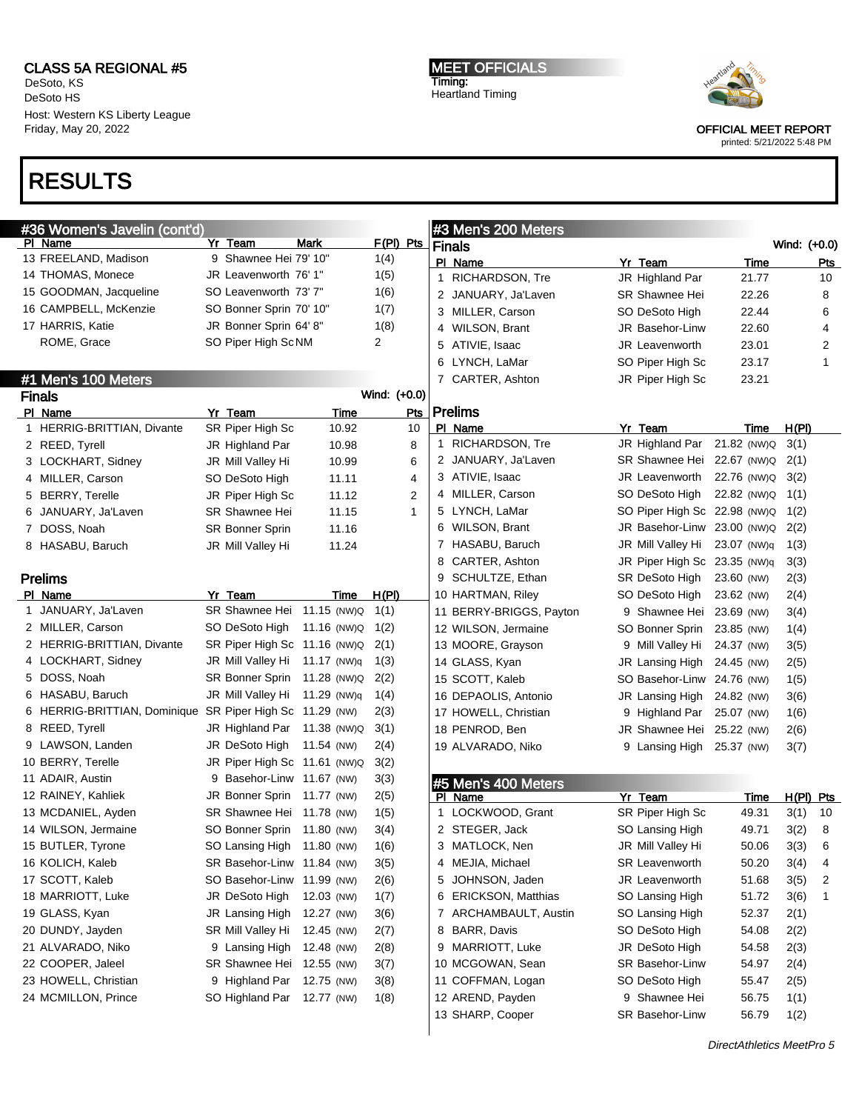DeSoto, KS DeSoto HS Host: Western KS Liberty League Friday, May 20, 2022

### RESULTS

MEET OFFICIALS Timing: Heartland Timing



OFFICIAL MEET REPORT

| #36 Women's Javelin (cont'd)                                                         |                                                                                                |                          |                              |     |               | #3 Men's 200 Meters                                                                            |                                                                                         |                         |              |            |
|--------------------------------------------------------------------------------------|------------------------------------------------------------------------------------------------|--------------------------|------------------------------|-----|---------------|------------------------------------------------------------------------------------------------|-----------------------------------------------------------------------------------------|-------------------------|--------------|------------|
| PI Name                                                                              | Yr Team                                                                                        | Mark                     | F(PI) Pts                    |     | <b>Finals</b> |                                                                                                |                                                                                         |                         | Wind: (+0.0) |            |
| 13 FREELAND, Madison                                                                 | 9 Shawnee Hei 79' 10"                                                                          |                          | 1(4)                         |     |               | PI Name                                                                                        | Yr Team                                                                                 | <u>Time</u>             |              | <u>Pts</u> |
| 14 THOMAS, Monece                                                                    | JR Leavenworth 76' 1"                                                                          |                          | 1(5)                         |     |               | 1 RICHARDSON, Tre                                                                              | JR Highland Par                                                                         | 21.77                   |              | 10         |
| 15 GOODMAN, Jacqueline                                                               | SO Leavenworth 73'7"                                                                           |                          | 1(6)                         |     |               | 2 JANUARY, Ja'Laven                                                                            | SR Shawnee Hei                                                                          | 22.26                   |              | 8          |
| 16 CAMPBELL, McKenzie                                                                | SO Bonner Sprin 70' 10"                                                                        |                          | 1(7)                         |     |               | 3 MILLER, Carson                                                                               | SO DeSoto High                                                                          | 22.44                   |              | 6          |
| 17 HARRIS, Katie                                                                     | JR Bonner Sprin 64' 8"                                                                         |                          | 1(8)                         |     |               | 4 WILSON, Brant                                                                                | JR Basehor-Linw                                                                         | 22.60                   |              | 4          |
| ROME, Grace                                                                          | SO Piper High ScNM                                                                             |                          | $\overline{2}$               |     |               | 5 ATIVIE, Isaac                                                                                | <b>JR</b> Leavenworth                                                                   | 23.01                   |              | 2          |
|                                                                                      |                                                                                                |                          |                              |     |               | 6 LYNCH, LaMar                                                                                 | SO Piper High Sc                                                                        | 23.17                   |              | 1          |
| #1 Men's 100 Meters                                                                  |                                                                                                |                          |                              |     |               | 7 CARTER, Ashton                                                                               | JR Piper High Sc                                                                        | 23.21                   |              |            |
| <b>Finals</b>                                                                        |                                                                                                |                          | Wind: (+0.0)                 |     |               |                                                                                                |                                                                                         |                         |              |            |
| PI Name                                                                              | Yr Team                                                                                        | Time                     |                              | Pts |               | <b>Prelims</b>                                                                                 |                                                                                         |                         |              |            |
| 1 HERRIG-BRITTIAN, Divante                                                           | SR Piper High Sc                                                                               | 10.92                    |                              | 10  |               | PI Name                                                                                        | Yr Team                                                                                 | Time                    | H(PI)        |            |
| 2 REED, Tyrell                                                                       | JR Highland Par                                                                                | 10.98                    |                              | 8   |               | 1 RICHARDSON, Tre                                                                              | JR Highland Par 21.82 (NW)Q                                                             |                         | 3(1)         |            |
| 3 LOCKHART, Sidney                                                                   | JR Mill Valley Hi                                                                              | 10.99                    |                              | 6   |               | 2 JANUARY, Ja'Laven                                                                            | SR Shawnee Hei                                                                          | 22.67 (NW)Q             | 2(1)         |            |
| 4 MILLER, Carson                                                                     | SO DeSoto High                                                                                 | 11.11                    |                              | 4   |               | 3 ATIVIE, Isaac                                                                                | JR Leavenworth                                                                          | 22.76 (NW)Q             | 3(2)         |            |
| 5 BERRY, Terelle                                                                     | JR Piper High Sc                                                                               | 11.12                    |                              | 2   |               | 4 MILLER, Carson                                                                               | SO DeSoto High                                                                          | 22.82 (NW)Q             | 1(1)         |            |
| 6 JANUARY, Ja'Laven                                                                  | <b>SR Shawnee Hei</b>                                                                          | 11.15                    |                              | 1   |               | 5 LYNCH, LaMar                                                                                 | SO Piper High Sc 22.98 (NW)Q                                                            |                         | 1(2)         |            |
| 7 DOSS, Noah                                                                         | <b>SR Bonner Sprin</b>                                                                         | 11.16                    |                              |     |               | 6 WILSON, Brant                                                                                | JR Basehor-Linw 23.00 (NW)Q                                                             |                         | 2(2)         |            |
| 8 HASABU, Baruch                                                                     | JR Mill Valley Hi                                                                              | 11.24                    |                              |     |               | 7 HASABU, Baruch                                                                               | JR Mill Valley Hi                                                                       | 23.07 (NW)q             | 1(3)         |            |
|                                                                                      |                                                                                                |                          |                              |     | 8             | CARTER, Ashton                                                                                 | JR Piper High Sc 23.35 (NW)q                                                            |                         | 3(3)         |            |
| <b>Prelims</b>                                                                       |                                                                                                |                          |                              |     | 9             | SCHULTZE, Ethan                                                                                | SR DeSoto High                                                                          | 23.60 (NW)              | 2(3)         |            |
| PI Name                                                                              | Yr Team                                                                                        | Time                     | H(PI)                        |     |               | 10 HARTMAN, Riley                                                                              | SO DeSoto High                                                                          | 23.62 (NW)              | 2(4)         |            |
| 1 JANUARY, Ja'Laven                                                                  | SR Shawnee Hei 11.15 (NW)Q                                                                     |                          | 1(1)                         |     |               | 11 BERRY-BRIGGS, Payton                                                                        | 9 Shawnee Hei 23.69 (NW)                                                                |                         | 3(4)         |            |
| 2 MILLER, Carson                                                                     | SO DeSoto High                                                                                 | 11.16 (NW)Q              | 1(2)                         |     |               | 12 WILSON, Jermaine                                                                            | SO Bonner Sprin                                                                         | 23.85 (NW)              | 1(4)         |            |
| 2 HERRIG-BRITTIAN, Divante                                                           | SR Piper High Sc 11.16 (NW)Q                                                                   |                          | 2(1)                         |     |               | 13 MOORE, Grayson                                                                              | 9 Mill Valley Hi                                                                        | 24.37 (NW)              | 3(5)         |            |
| 4 LOCKHART, Sidney                                                                   | JR Mill Valley Hi 11.17 (NW)q                                                                  |                          | 1(3)                         |     |               | 14 GLASS, Kyan                                                                                 | JR Lansing High                                                                         | 24.45 (NW)              | 2(5)         |            |
| 5 DOSS, Noah                                                                         | SR Bonner Sprin                                                                                | 11.28 (NW)Q              | 2(2)                         |     |               | 15 SCOTT, Kaleb                                                                                | SO Basehor-Linw 24.76 (NW)                                                              |                         | 1(5)         |            |
| 6 HASABU, Baruch                                                                     | JR Mill Valley Hi                                                                              | 11.29 (NW)q              | 1(4)                         |     |               | 16 DEPAOLIS, Antonio                                                                           | JR Lansing High                                                                         | 24.82 (NW)              | 3(6)         |            |
| 6 HERRIG-BRITTIAN, Dominique SR Piper High Sc 11.29 (NW)                             |                                                                                                |                          | 2(3)                         |     |               | 17 HOWELL, Christian                                                                           | 9 Highland Par                                                                          | 25.07 (NW)              | 1(6)         |            |
| 8 REED, Tyrell                                                                       | JR Highland Par 11.38 (NW)Q                                                                    |                          | 3(1)                         |     |               | 18 PENROD, Ben                                                                                 | JR Shawnee Hei                                                                          | 25.22 (NW)              | 2(6)         |            |
| 9 LAWSON, Landen                                                                     | JR DeSoto High                                                                                 | 11.54 (NW)               | 2(4)                         |     |               | 19 ALVARADO, Niko                                                                              | 9 Lansing High 25.37 (NW)                                                               |                         | 3(7)         |            |
| 10 BERRY, Terelle                                                                    | JR Piper High Sc 11.61 (NW)Q                                                                   |                          | 3(2)                         |     |               |                                                                                                |                                                                                         |                         |              |            |
| 11 ADAIR, Austin                                                                     | 9 Basehor-Linw 11.67 (NW)                                                                      |                          | 3(3)                         |     |               | #5 Men's 400 Meters                                                                            |                                                                                         |                         |              |            |
| 12 RAINEY, Kahliek                                                                   | JR Bonner Sprin 11.77 (NW)                                                                     |                          | 2(5)                         |     |               | PI Name                                                                                        | Yr Team                                                                                 | <u>Time</u>             | H(PI) Pts    |            |
| 13 MCDANIEL, Ayden                                                                   | SR Shawnee Hei 11.78 (NW)                                                                      |                          | 1(5)                         |     |               | 1 LOCKWOOD, Grant                                                                              | SR Piper High Sc                                                                        | 49.31                   | 3(1)         | 10         |
| 14 WILSON, Jermaine                                                                  | SO Bonner Sprin                                                                                | 11.80 (NW)               | 3(4)                         |     |               | 2 STEGER, Jack                                                                                 | SO Lansing High                                                                         | 49.71                   | 3(2)         | 8          |
| 15 BUTLER, Tyrone                                                                    | SO Lansing High 11.80 (NW)                                                                     |                          | 1(6)                         |     |               | 3 MATLOCK, Nen                                                                                 | JR Mill Vallev Hi                                                                       | 50.06                   | 3(3)         | 6          |
| 16 KOLICH, Kaleb                                                                     | SR Basehor-Linw 11.84 (NW)                                                                     |                          | 3(5)                         |     |               | 4 MEJIA, Michael                                                                               | <b>SR Leavenworth</b>                                                                   | 50.20                   | 3(4)         | 4          |
| 17 SCOTT, Kaleb                                                                      | SO Basehor-Linw 11.99 (NW)                                                                     |                          | 2(6)                         |     |               | 5 JOHNSON, Jaden                                                                               | JR Leavenworth                                                                          | 51.68                   | 3(5)         | 2          |
| 18 MARRIOTT, Luke                                                                    | JR DeSoto High                                                                                 | 12.03 (NW)               | 1(7)                         |     |               | 6 ERICKSON, Matthias                                                                           | SO Lansing High                                                                         | 51.72                   | 3(6)         | 1          |
| 19 GLASS, Kyan                                                                       | JR Lansing High 12.27 (NW)                                                                     |                          | 3(6)                         |     |               | 7 ARCHAMBAULT, Austin                                                                          | SO Lansing High                                                                         | 52.37                   | 2(1)         |            |
|                                                                                      |                                                                                                |                          |                              |     |               |                                                                                                |                                                                                         |                         |              |            |
| 21 ALVARADO, Niko                                                                    | 9 Lansing High                                                                                 | 12.48 (NW)               | 2(8)                         |     |               | 9 MARRIOTT, Luke                                                                               | JR DeSoto High                                                                          | 54.58                   | 2(3)         |            |
|                                                                                      |                                                                                                |                          |                              |     |               |                                                                                                |                                                                                         | 54.97                   | 2(4)         |            |
|                                                                                      |                                                                                                |                          |                              |     |               |                                                                                                |                                                                                         |                         | 2(5)         |            |
|                                                                                      |                                                                                                |                          |                              |     |               |                                                                                                |                                                                                         | 56.75                   | 1(1)         |            |
|                                                                                      |                                                                                                |                          |                              |     |               |                                                                                                |                                                                                         |                         |              |            |
| 20 DUNDY, Jayden<br>22 COOPER, Jaleel<br>23 HOWELL, Christian<br>24 MCMILLON, Prince | SR Mill Valley Hi<br>SR Shawnee Hei 12.55 (NW)<br>9 Highland Par<br>SO Highland Par 12.77 (NW) | 12.45 (NW)<br>12.75 (NW) | 2(7)<br>3(7)<br>3(8)<br>1(8) |     |               | 8 BARR, Davis<br>10 MCGOWAN, Sean<br>11 COFFMAN, Logan<br>12 AREND, Payden<br>13 SHARP, Cooper | SO DeSoto High<br>SR Basehor-Linw<br>SO DeSoto High<br>9 Shawnee Hei<br>SR Basehor-Linw | 54.08<br>55.47<br>56.79 | 2(2)<br>1(2) |            |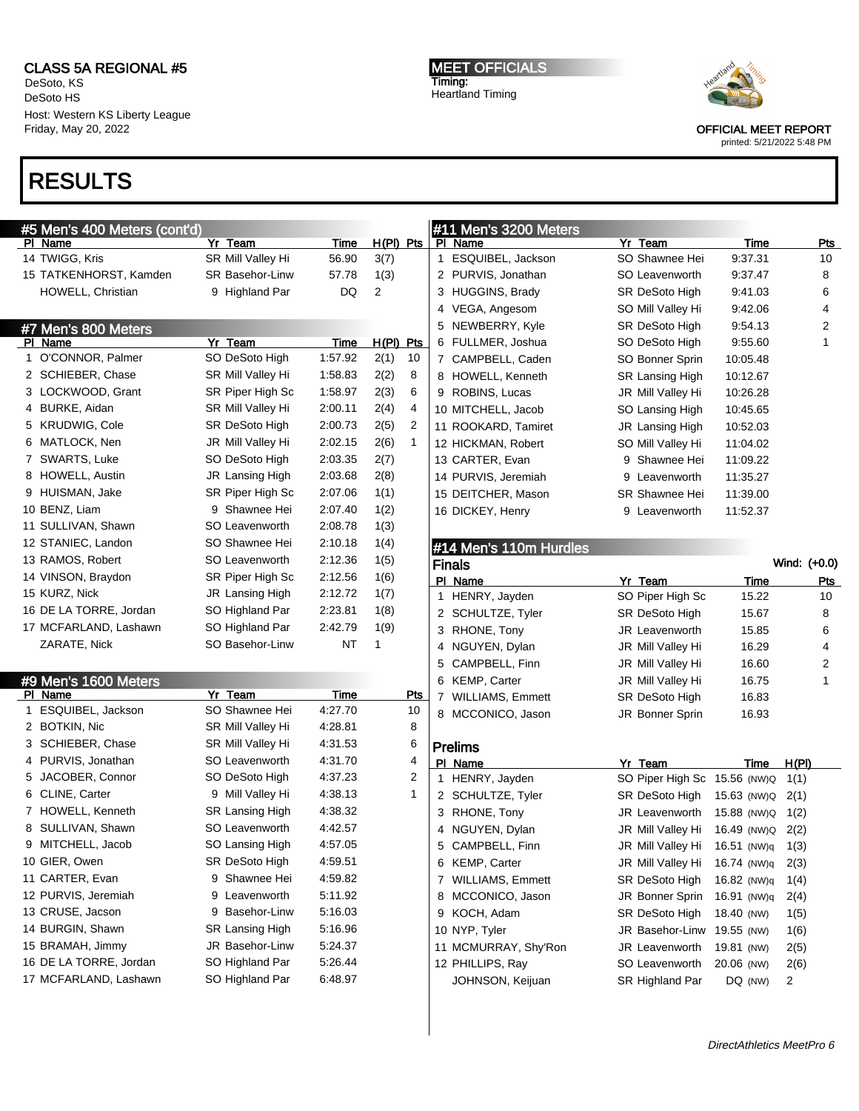DeSoto, KS DeSoto HS Host: Western KS Liberty League Friday, May 20, 2022

# RESULTS

| #5 Men's 400 Meters (cont'd) |                        |             |              |                |              | #11 Men's 3200 Meters  |                                    |                  |                |
|------------------------------|------------------------|-------------|--------------|----------------|--------------|------------------------|------------------------------------|------------------|----------------|
| PI Name                      | Yr Team                | <b>Time</b> | $H(PI)$ Pts  |                |              | PI Name                | Yr Team                            | Time             | <u>Pts</u>     |
| 14 TWIGG, Kris               | SR Mill Valley Hi      | 56.90       | 3(7)         |                |              | 1 ESQUIBEL, Jackson    | SO Shawnee Hei                     | 9:37.31          | 10             |
| 15 TATKENHORST, Kamden       | <b>SR Basehor-Linw</b> | 57.78       | 1(3)         |                |              | 2 PURVIS, Jonathan     | SO Leavenworth                     | 9:37.47          | 8              |
| HOWELL, Christian            | 9 Highland Par         | DQ          | 2            |                |              | 3 HUGGINS, Brady       | SR DeSoto High                     | 9:41.03          | 6              |
|                              |                        |             |              |                |              | 4 VEGA, Angesom        | SO Mill Valley Hi                  | 9:42.06          | 4              |
| #7 Men's 800 Meters          |                        |             |              |                |              | 5 NEWBERRY, Kyle       | SR DeSoto High                     | 9:54.13          | $\overline{2}$ |
| PI Name                      | Yr Team                | Time        | $H(PI)$ Pts  |                |              | 6 FULLMER, Joshua      | SO DeSoto High                     | 9:55.60          | $\mathbf{1}$   |
| 1 O'CONNOR, Palmer           | SO DeSoto High         | 1:57.92     | 2(1)         | 10             |              | 7 CAMPBELL, Caden      | SO Bonner Sprin                    | 10:05.48         |                |
| 2 SCHIEBER, Chase            | SR Mill Valley Hi      | 1:58.83     | 2(2)         | 8              |              | 8 HOWELL, Kenneth      | <b>SR Lansing High</b>             | 10:12.67         |                |
| 3 LOCKWOOD, Grant            | SR Piper High Sc       | 1:58.97     | 2(3)         | 6              |              | 9 ROBINS, Lucas        | JR Mill Valley Hi                  | 10:26.28         |                |
| 4 BURKE, Aidan               | SR Mill Valley Hi      | 2:00.11     | 2(4)         | 4              |              | 10 MITCHELL, Jacob     | SO Lansing High                    | 10:45.65         |                |
| 5 KRUDWIG, Cole              | SR DeSoto High         | 2:00.73     | 2(5)         | $\overline{2}$ |              | 11 ROOKARD, Tamiret    | JR Lansing High                    | 10:52.03         |                |
| 6 MATLOCK, Nen               | JR Mill Valley Hi      | 2:02.15     | 2(6)         | 1              |              | 12 HICKMAN, Robert     | SO Mill Valley Hi                  | 11:04.02         |                |
| 7 SWARTS, Luke               | SO DeSoto High         | 2:03.35     | 2(7)         |                |              | 13 CARTER, Evan        | 9 Shawnee Hei                      | 11:09.22         |                |
| 8 HOWELL, Austin             | JR Lansing High        | 2:03.68     | 2(8)         |                |              | 14 PURVIS, Jeremiah    | 9 Leavenworth                      | 11:35.27         |                |
| 9 HUISMAN, Jake              | SR Piper High Sc       | 2:07.06     | 1(1)         |                |              | 15 DEITCHER, Mason     | <b>SR Shawnee Hei</b>              | 11:39.00         |                |
| 10 BENZ, Liam                | 9 Shawnee Hei          | 2:07.40     | 1(2)         |                |              | 16 DICKEY, Henry       | 9 Leavenworth                      | 11:52.37         |                |
| 11 SULLIVAN, Shawn           | SO Leavenworth         | 2:08.78     | 1(3)         |                |              |                        |                                    |                  |                |
| 12 STANIEC, Landon           | SO Shawnee Hei         | 2:10.18     | 1(4)         |                |              | #14 Men's 110m Hurdles |                                    |                  |                |
| 13 RAMOS, Robert             | SO Leavenworth         | 2:12.36     | 1(5)         |                |              | <b>Finals</b>          |                                    |                  | Wind: (+0.0)   |
| 14 VINSON, Braydon           | SR Piper High Sc       | 2:12.56     | 1(6)         |                |              | PI Name                | Yr Team                            | Time             | <u>Pts</u>     |
| 15 KURZ, Nick                | JR Lansing High        | 2:12.72     | 1(7)         |                | $\mathbf{1}$ | HENRY, Jayden          | SO Piper High Sc                   | 15.22            | 10             |
| 16 DE LA TORRE, Jordan       | SO Highland Par        | 2:23.81     | 1(8)         |                |              | 2 SCHULTZE, Tyler      | <b>SR DeSoto High</b>              | 15.67            | 8              |
| 17 MCFARLAND, Lashawn        | SO Highland Par        | 2:42.79     | 1(9)         |                |              | 3 RHONE, Tony          | <b>JR Leavenworth</b>              | 15.85            | 6              |
| ZARATE, Nick                 | SO Basehor-Linw        | <b>NT</b>   | $\mathbf{1}$ |                |              | 4 NGUYEN, Dylan        | JR Mill Valley Hi                  | 16.29            | 4              |
|                              |                        |             |              |                |              | 5 CAMPBELL, Finn       | JR Mill Valley Hi                  | 16.60            | 2              |
| #9 Men's 1600 Meters         |                        |             |              |                |              | 6 KEMP, Carter         | JR Mill Valley Hi                  | 16.75            | $\mathbf{1}$   |
| PI Name                      | Yr Team                | Time        |              | <u>Pts</u>     |              | 7 WILLIAMS, Emmett     | SR DeSoto High                     | 16.83            |                |
| 1 ESQUIBEL, Jackson          | SO Shawnee Hei         | 4:27.70     |              | 10             |              | 8 MCCONICO, Jason      | JR Bonner Sprin                    | 16.93            |                |
| 2 BOTKIN, Nic                | SR Mill Valley Hi      | 4:28.81     |              | 8              |              |                        |                                    |                  |                |
| 3 SCHIEBER, Chase            | SR Mill Valley Hi      | 4:31.53     |              | 6              |              | <b>Prelims</b>         |                                    |                  |                |
| 4 PURVIS, Jonathan           | SO Leavenworth         | 4:31.70     |              | 4              |              | PI Name                | Yr Team                            | <b>Time</b>      | H(PI)          |
| 5 JACOBER, Connor            | SO DeSoto High         | 4:37.23     |              | 2              |              | 1 HENRY, Jayden        | SO Piper High Sc 15.56 (NW)Q       |                  | 1(1)           |
| 6 CLINE, Carter              | 9 Mill Valley Hi       | 4:38.13     |              | $\mathbf{1}$   |              | 2 SCHULTZE, Tyler      | SR DeSoto High                     | 15.63 (NW)Q 2(1) |                |
| 7 HOWELL, Kenneth            | SR Lansing High        | 4:38.32     |              |                |              | 3 RHONE, Tony          | JR Leavenworth                     | 15.88 (NW)Q      | 1(2)           |
| 8 SULLIVAN, Shawn            | SO Leavenworth         | 4:42.57     |              |                |              | 4 NGUYEN, Dylan        | JR Mill Valley Hi                  | 16.49 (NW)Q      | 2(2)           |
| 9 MITCHELL, Jacob            | SO Lansing High        | 4:57.05     |              |                |              | 5 CAMPBELL, Finn       | JR Mill Valley Hi 16.51 (NW)q 1(3) |                  |                |
| 10 GIER, Owen                | SR DeSoto High         | 4:59.51     |              |                |              | 6 KEMP, Carter         | JR Mill Valley Hi                  | 16.74 (NW)q      | 2(3)           |
| 11 CARTER, Evan              | 9 Shawnee Hei          | 4:59.82     |              |                |              | 7 WILLIAMS, Emmett     | SR DeSoto High                     | 16.82 (NW)q      | 1(4)           |
| 12 PURVIS, Jeremiah          | Leavenworth<br>9       | 5:11.92     |              |                |              | 8 MCCONICO, Jason      | JR Bonner Sprin                    | 16.91 (NW)q      |                |
| 13 CRUSE, Jacson             | 9 Basehor-Linw         | 5:16.03     |              |                |              | 9 KOCH, Adam           | SR DeSoto High                     | 18.40 (NW)       | 2(4)           |
| 14 BURGIN, Shawn             | SR Lansing High        | 5:16.96     |              |                |              | 10 NYP, Tyler          | JR Basehor-Linw 19.55 (NW)         |                  | 1(5)           |
| 15 BRAMAH, Jimmy             | JR Basehor-Linw        | 5:24.37     |              |                |              | 11 MCMURRAY, Shy'Ron   |                                    |                  | 1(6)           |
| 16 DE LA TORRE, Jordan       | SO Highland Par        | 5:26.44     |              |                |              |                        | JR Leavenworth                     | 19.81 (NW)       | 2(5)           |
| 17 MCFARLAND, Lashawn        |                        | 6:48.97     |              |                |              | 12 PHILLIPS, Ray       | SO Leavenworth                     | 20.06 (NW)       | 2(6)           |
|                              | SO Highland Par        |             |              |                |              | JOHNSON, Keijuan       | SR Highland Par                    | DQ (NW)          | 2              |

MEET OFFICIALS Timing: Heartland Timing



OFFICIAL MEET REPORT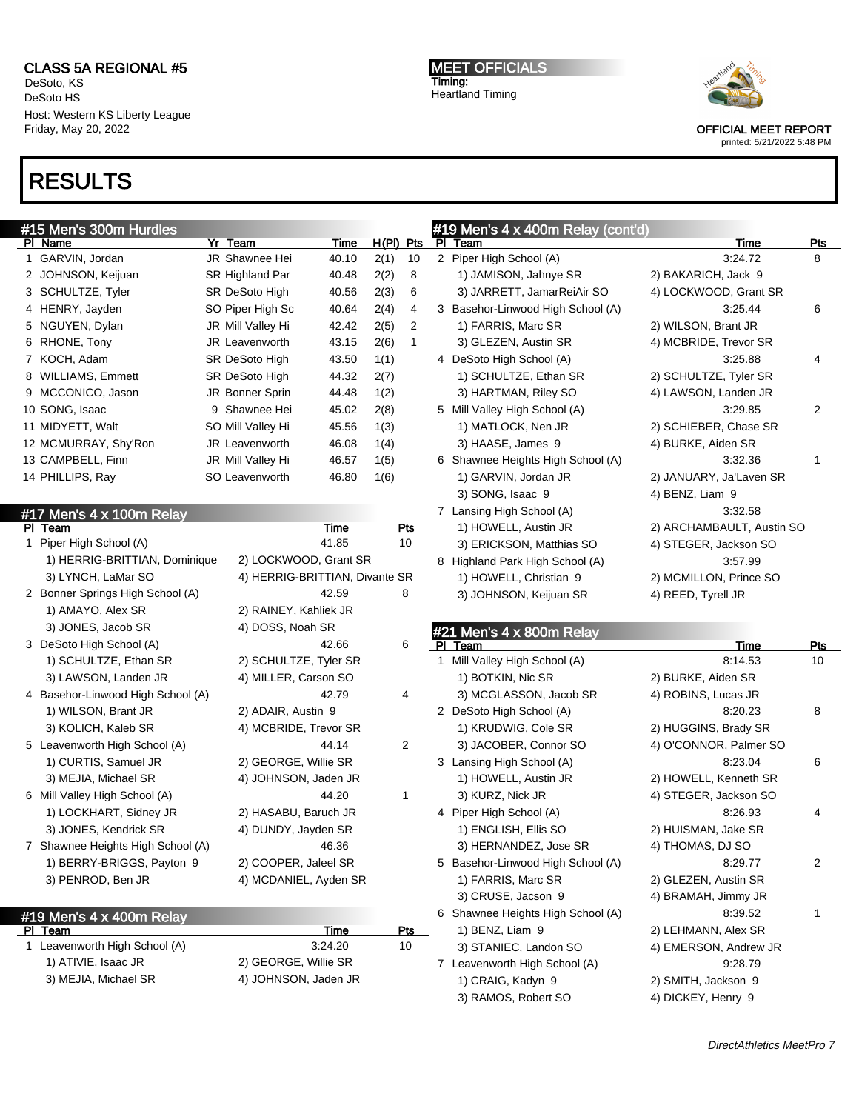DeSoto, KS DeSoto HS Host: Western KS Liberty League Friday, May 20, 2022

#15 Men's 300m Hurdles

<u>PI Team</u>

PI Name Yr Team Time H(PI) Pts 1 GARVIN, Jordan JR Shawnee Hei 40.10 2(1) 10

### RESULTS

MEET OFFICIALS Timing: Heartland Timing

#19 Men's 4 x 400m Relay (cont'd)

PI Team Pts 2 Piper High School (A) 3:24.72 8



OFFICIAL MEET REPORT printed: 5/21/2022 5:48 PM

| 2 JOHNSON, Keijuan                | SR Highland Par                | 40.48 | 2(2) | 8              | 1) JAMISON, Jahnye SR             | 2) BAKARICH, Jack 9       |                |
|-----------------------------------|--------------------------------|-------|------|----------------|-----------------------------------|---------------------------|----------------|
| 3 SCHULTZE, Tyler                 | SR DeSoto High                 | 40.56 | 2(3) | 6              | 3) JARRETT, JamarReiAir SO        | 4) LOCKWOOD, Grant SR     |                |
| 4 HENRY, Jayden                   | SO Piper High Sc               | 40.64 | 2(4) | 4              | 3 Basehor-Linwood High School (A) | 3:25.44                   | 6              |
| 5 NGUYEN, Dylan                   | JR Mill Valley Hi              | 42.42 | 2(5) | 2              | 1) FARRIS, Marc SR                | 2) WILSON, Brant JR       |                |
| 6 RHONE, Tony                     | JR Leavenworth                 | 43.15 | 2(6) | $\mathbf{1}$   | 3) GLEZEN, Austin SR              | 4) MCBRIDE, Trevor SR     |                |
| 7 KOCH, Adam                      | SR DeSoto High                 | 43.50 | 1(1) |                | 4 DeSoto High School (A)          | 3:25.88                   | 4              |
| 8 WILLIAMS, Emmett                | SR DeSoto High                 | 44.32 | 2(7) |                | 1) SCHULTZE, Ethan SR             | 2) SCHULTZE, Tyler SR     |                |
| 9 MCCONICO, Jason                 | JR Bonner Sprin                | 44.48 | 1(2) |                | 3) HARTMAN, Riley SO              | 4) LAWSON, Landen JR      |                |
| 10 SONG, Isaac                    | 9 Shawnee Hei                  | 45.02 | 2(8) |                | 5 Mill Valley High School (A)     | 3:29.85                   | $\overline{2}$ |
| 11 MIDYETT, Walt                  | SO Mill Valley Hi              | 45.56 | 1(3) |                | 1) MATLOCK, Nen JR                | 2) SCHIEBER, Chase SR     |                |
| 12 MCMURRAY, Shy'Ron              | JR Leavenworth                 | 46.08 | 1(4) |                | 3) HAASE, James 9                 | 4) BURKE, Aiden SR        |                |
| 13 CAMPBELL, Finn                 | JR Mill Valley Hi              | 46.57 | 1(5) |                | 6 Shawnee Heights High School (A) | 3:32.36                   | $\mathbf{1}$   |
| 14 PHILLIPS, Ray                  | SO Leavenworth                 | 46.80 | 1(6) |                | 1) GARVIN, Jordan JR              | 2) JANUARY, Ja'Laven SR   |                |
|                                   |                                |       |      |                | 3) SONG, Isaac 9                  | 4) BENZ, Liam 9           |                |
| #17 Men's 4 x 100m Relay          |                                |       |      |                | 7 Lansing High School (A)         | 3:32.58                   |                |
| <u>PI Team</u>                    |                                | Time  |      | Pts            | 1) HOWELL, Austin JR              | 2) ARCHAMBAULT, Austin SO |                |
| 1 Piper High School (A)           |                                | 41.85 |      | 10             | 3) ERICKSON, Matthias SO          | 4) STEGER, Jackson SO     |                |
| 1) HERRIG-BRITTIAN, Dominique     | 2) LOCKWOOD, Grant SR          |       |      |                | 8 Highland Park High School (A)   | 3:57.99                   |                |
| 3) LYNCH, LaMar SO                | 4) HERRIG-BRITTIAN, Divante SR |       |      |                | 1) HOWELL, Christian 9            | 2) MCMILLON, Prince SO    |                |
| 2 Bonner Springs High School (A)  |                                | 42.59 |      | 8              | 3) JOHNSON, Keijuan SR            | 4) REED, Tyrell JR        |                |
| 1) AMAYO, Alex SR                 | 2) RAINEY, Kahliek JR          |       |      |                |                                   |                           |                |
| 3) JONES, Jacob SR                | 4) DOSS, Noah SR               |       |      |                | #21 Men's 4 x 800m Relay          |                           |                |
| 3 DeSoto High School (A)          |                                | 42.66 |      | 6              | PI Team                           | <b>Time</b>               | <u>Pts</u>     |
| 1) SCHULTZE, Ethan SR             | 2) SCHULTZE, Tyler SR          |       |      |                | 1 Mill Valley High School (A)     | 8:14.53                   | 10             |
| 3) LAWSON, Landen JR              | 4) MILLER, Carson SO           |       |      |                | 1) BOTKIN, Nic SR                 | 2) BURKE, Aiden SR        |                |
| 4 Basehor-Linwood High School (A) |                                | 42.79 |      | 4              | 3) MCGLASSON, Jacob SR            | 4) ROBINS, Lucas JR       |                |
| 1) WILSON, Brant JR               | 2) ADAIR, Austin 9             |       |      |                | 2 DeSoto High School (A)          | 8:20.23                   | 8              |
| 3) KOLICH, Kaleb SR               | 4) MCBRIDE, Trevor SR          |       |      |                | 1) KRUDWIG, Cole SR               | 2) HUGGINS, Brady SR      |                |
| 5 Leavenworth High School (A)     |                                | 44.14 |      | $\overline{2}$ | 3) JACOBER, Connor SO             | 4) O'CONNOR, Palmer SO    |                |
| 1) CURTIS, Samuel JR              | 2) GEORGE, Willie SR           |       |      |                | 3 Lansing High School (A)         | 8:23.04                   | 6              |
| 3) MEJIA, Michael SR              | 4) JOHNSON, Jaden JR           |       |      |                | 1) HOWELL, Austin JR              | 2) HOWELL, Kenneth SR     |                |
| 6 Mill Valley High School (A)     |                                | 44.20 |      | $\mathbf{1}$   | 3) KURZ, Nick JR                  | 4) STEGER, Jackson SO     |                |
| 1) LOCKHART, Sidney JR            | 2) HASABU, Baruch JR           |       |      |                | 4 Piper High School (A)           | 8:26.93                   | 4              |
| 3) JONES, Kendrick SR             | 4) DUNDY, Jayden SR            |       |      |                | 1) ENGLISH, Ellis SO              | 2) HUISMAN, Jake SR       |                |
| 7 Shawnee Heights High School (A) |                                | 46.36 |      |                | 3) HERNANDEZ, Jose SR             | 4) THOMAS, DJ SO          |                |
| 1) BERRY-BRIGGS, Payton 9         | 2) COOPER, Jaleel SR           |       |      |                | 5 Basehor-Linwood High School (A) | 8:29.77                   | 2              |

1) FARRIS, Marc SR 2) GLEZEN, Austin SR 3) CRUSE, Jacson 9 4) BRAMAH, Jimmy JR 6 Shawnee Heights High School (A) 8:39.52 1 1) BENZ, Liam 9 2) LEHMANN, Alex SR 3) STANIEC, Landon SO 4) EMERSON, Andrew JR 7 Leavenworth High School (A) 9:28.79 1) CRAIG, Kadyn 9 2) SMITH, Jackson 9 3) RAMOS, Robert SO 4) DICKEY, Henry 9

| 3) JONES, Kendrick SR             | 4) DUNDY, Jayden SR   |
|-----------------------------------|-----------------------|
| 7 Shawnee Heights High School (A) | 46.36                 |
| 1) BERRY-BRIGGS, Payton 9         | 2) COOPER, Jaleel SR  |
| 3) PENROD, Ben JR                 | 4) MCDANIEL, Ayden SR |

| #19 Men's $4 \times 400$ m Relay |                      |     |  |  |  |  |  |
|----------------------------------|----------------------|-----|--|--|--|--|--|
| Team                             | Time                 | Pts |  |  |  |  |  |
| 1 Leavenworth High School (A)    | 3:24.20              | 10  |  |  |  |  |  |
| 1) ATIVIE, Isaac JR              | 2) GEORGE, Willie SR |     |  |  |  |  |  |
| 3) MEJIA, Michael SR             | 4) JOHNSON, Jaden JR |     |  |  |  |  |  |
|                                  |                      |     |  |  |  |  |  |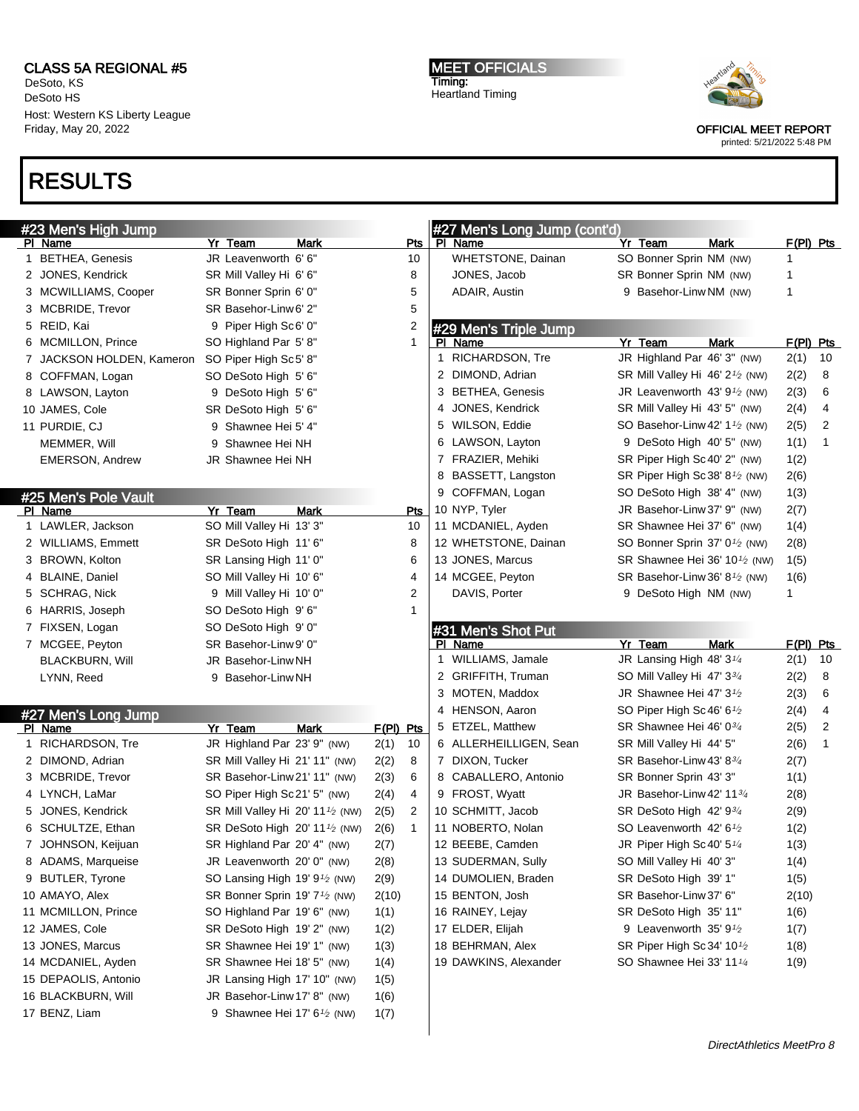DeSoto, KS DeSoto HS Host: Western KS Liberty League Friday, May 20, 2022

### RESULTS

MEET OFFICIALS Timing: Heartland Timing



OFFICIAL MEET REPORT

| #23 Men's High Jump                 |                                                             |                | #27 Men's Long Jump (cont'd) |                                                          |             |    |
|-------------------------------------|-------------------------------------------------------------|----------------|------------------------------|----------------------------------------------------------|-------------|----|
| PI Name                             | Yr Team<br>Mark                                             | <u>Pts</u>     | PI Name                      | Yr Team<br>Mark                                          | $F(PI)$ Pts |    |
| 1 BETHEA, Genesis                   | JR Leavenworth 6'6"                                         | 10             | <b>WHETSTONE, Dainan</b>     | SO Bonner Sprin NM (NW)                                  | 1           |    |
| 2 JONES, Kendrick                   | SR Mill Valley Hi 6' 6"                                     | 8              | JONES, Jacob                 | SR Bonner Sprin NM (NW)                                  | 1           |    |
| 3 MCWILLIAMS, Cooper                | SR Bonner Sprin 6' 0"                                       | 5              | ADAIR, Austin                | 9 Basehor-Linw NM (NW)                                   | 1           |    |
| 3 MCBRIDE, Trevor                   | SR Basehor-Linw 6' 2"                                       | 5              |                              |                                                          |             |    |
| 5 REID, Kai                         | 9 Piper High Sc6' 0"                                        | 2              | #29 Men's Triple Jump        |                                                          |             |    |
| 6 MCMILLON, Prince                  | SO Highland Par 5'8"                                        | $\mathbf{1}$   | PI Name                      | Yr Team<br>Mark                                          | F(PI) Pts   |    |
| 7 JACKSON HOLDEN, Kameron           | SO Piper High Sc5' 8"                                       |                | 1 RICHARDSON, Tre            | JR Highland Par 46' 3" (NW)                              | 2(1)        | 10 |
| 8 COFFMAN, Logan                    | SO DeSoto High 5' 6"                                        |                | 2 DIMOND, Adrian             | SR Mill Valley Hi 46' 2 <sup>1</sup> / <sub>2</sub> (NW) | 2(2)        | 8  |
| 8 LAWSON, Layton                    | 9 DeSoto High 5' 6"                                         |                | 3 BETHEA, Genesis            | JR Leavenworth 43' $9\frac{1}{2}$ (NW)                   | 2(3)        | 6  |
| 10 JAMES, Cole                      | SR DeSoto High 5' 6"                                        |                | 4 JONES, Kendrick            | SR Mill Valley Hi 43' 5" (NW)                            | 2(4)        | 4  |
| 11 PURDIE, CJ                       | 9 Shawnee Hei 5' 4"                                         |                | 5 WILSON, Eddie              | SO Basehor-Linw 42' 1 <sup>1</sup> / <sub>2</sub> (NW)   | 2(5)        | 2  |
| MEMMER, Will                        | 9 Shawnee Hei NH                                            |                | 6 LAWSON, Layton             | 9 DeSoto High 40' 5" (NW)                                | 1(1)        | 1  |
| <b>EMERSON, Andrew</b>              | JR Shawnee Hei NH                                           |                | 7 FRAZIER, Mehiki            | SR Piper High Sc 40' 2" (NW)                             | 1(2)        |    |
|                                     |                                                             |                | 8 BASSETT, Langston          | SR Piper High Sc 38' 8 <sup>1</sup> / <sub>2</sub> (NW)  | 2(6)        |    |
| #25 Men's Pole Vault                |                                                             |                | 9 COFFMAN, Logan             | SO DeSoto High 38' 4" (NW)                               | 1(3)        |    |
| PI Name                             | Yr Team<br><b>Mark</b>                                      | Pts            | 10 NYP, Tyler                | JR Basehor-Linw 37' 9" (NW)                              | 2(7)        |    |
| 1 LAWLER, Jackson                   | SO Mill Valley Hi 13' 3"                                    | 10             | 11 MCDANIEL, Ayden           | SR Shawnee Hei 37' 6" (NW)                               | 1(4)        |    |
| 2 WILLIAMS, Emmett                  | SR DeSoto High 11' 6"                                       | 8              | 12 WHETSTONE, Dainan         | SO Bonner Sprin 37' 0 <sup>1</sup> / <sub>2</sub> (NW)   | 2(8)        |    |
| 3 BROWN, Kolton                     | SR Lansing High 11' 0"                                      | 6              | 13 JONES, Marcus             | SR Shawnee Hei 36' 10 <sup>1</sup> /2 (NW)               | 1(5)        |    |
| 4 BLAINE, Daniel                    | SO Mill Valley Hi 10' 6"                                    | 4              | 14 MCGEE, Peyton             | SR Basehor-Linw 36' 8 <sup>1</sup> / <sub>2</sub> (NW)   | 1(6)        |    |
| 5 SCHRAG, Nick                      | 9 Mill Valley Hi 10' 0"                                     | $\overline{2}$ | DAVIS, Porter                | 9 DeSoto High NM (NW)                                    | 1           |    |
| 6 HARRIS, Joseph                    | SO DeSoto High 9'6"                                         | 1              |                              |                                                          |             |    |
| 7 FIXSEN, Logan                     | SO DeSoto High 9' 0"                                        |                | #31 Men's Shot Put           |                                                          |             |    |
|                                     |                                                             |                |                              |                                                          |             |    |
| 7 MCGEE, Peyton                     | SR Basehor-Linw 9' 0"                                       |                | PI Name                      | Yr Team<br>Mark                                          | F(PI) Pts   |    |
| <b>BLACKBURN, Will</b>              | JR Basehor-Linw NH                                          |                | 1 WILLIAMS, Jamale           | JR Lansing High 48' $3\frac{1}{4}$                       | 2(1)        | 10 |
| LYNN, Reed                          | 9 Basehor-Linw NH                                           |                | 2 GRIFFITH, Truman           | SO Mill Valley Hi 47' 33/4                               | 2(2)        | 8  |
|                                     |                                                             |                | 3 MOTEN, Maddox              | JR Shawnee Hei 47' 3 <sup>1</sup> /2                     | 2(3)        | 6  |
|                                     |                                                             |                | 4 HENSON, Aaron              | SO Piper High Sc 46' 6 <sup>1</sup> /2                   | 2(4)        | 4  |
| #27 Men's Long Jump<br>PI Name      | Yr Team<br><b>Mark</b>                                      | $F(PI)$ Pts    | 5 ETZEL, Matthew             | SR Shawnee Hei 46' 03/4                                  | 2(5)        | 2  |
| 1 RICHARDSON, Tre                   | JR Highland Par 23' 9" (NW)                                 | 2(1)<br>10     | 6 ALLERHEILLIGEN, Sean       | SR Mill Valley Hi 44' 5"                                 | 2(6)        | 1  |
| 2 DIMOND, Adrian                    | SR Mill Valley Hi 21' 11" (NW)                              | 8<br>2(2)      | 7 DIXON, Tucker              | SR Basehor-Linw 43' 83/4                                 | 2(7)        |    |
| 3 MCBRIDE, Trevor                   | SR Basehor-Linw 21' 11" (NW)                                | 6<br>2(3)      | 8 CABALLERO, Antonio         | SR Bonner Sprin 43' 3"                                   | 1(1)        |    |
| 4 LYNCH, LaMar                      | SO Piper High Sc21' 5" (NW)                                 | 4<br>2(4)      | 9 FROST, Wyatt               | JR Basehor-Linw 42' 1134                                 | 2(8)        |    |
| 5 JONES, Kendrick                   | SR Mill Valley Hi 20' 11 <sup>1</sup> /2 (NW)               | 2<br>2(5)      | 10 SCHMITT, Jacob            | SR DeSoto High 42' 934                                   | 2(9)        |    |
| 6 SCHULTZE, Ethan                   | SR DeSoto High 20' 11 <sup>1</sup> / <sub>2</sub> (NW)      | 1<br>2(6)      | 11 NOBERTO, Nolan            | SO Leavenworth $42'6\frac{1}{2}$                         | 1(2)        |    |
| 7 JOHNSON, Keijuan                  | SR Highland Par 20' 4" (NW)                                 | 2(7)           | 12 BEEBE, Camden             | JR Piper High Sc 40' 5 $\frac{1}{4}$                     | 1(3)        |    |
| 8 ADAMS, Marqueise                  | JR Leavenworth 20' 0" (NW)                                  | 2(8)           | 13 SUDERMAN, Sully           | SO Mill Valley Hi 40' 3"                                 | 1(4)        |    |
| 9 BUTLER, Tyrone                    | SO Lansing High 19' 9 <sup>1</sup> / <sub>2</sub> (NW)      | 2(9)           | 14 DUMOLIEN, Braden          | SR DeSoto High 39' 1"                                    | 1(5)        |    |
| 10 AMAYO, Alex                      | SR Bonner Sprin 19' 7 <sup>1</sup> / <sub>2</sub> (NW)      | 2(10)          | 15 BENTON, Josh              | SR Basehor-Linw 37' 6"                                   | 2(10)       |    |
| 11 MCMILLON, Prince                 | SO Highland Par 19' 6" (NW)                                 | 1(1)           | 16 RAINEY, Lejay             | SR DeSoto High 35' 11"                                   | 1(6)        |    |
| 12 JAMES, Cole                      | SR DeSoto High 19' 2" (NW)                                  |                | 17 ELDER, Elijah             | 9 Leavenworth 35' 9 <sup>1</sup> /2                      |             |    |
| 13 JONES, Marcus                    | SR Shawnee Hei 19' 1" (NW)                                  | 1(2)           | 18 BEHRMAN, Alex             | SR Piper High Sc 34' 10 <sup>1</sup> /2                  | 1(7)        |    |
| 14 MCDANIEL, Ayden                  | SR Shawnee Hei 18' 5" (NW)                                  | 1(3)<br>1(4)   | 19 DAWKINS, Alexander        | SO Shawnee Hei 33' 11 <sup>1/4</sup>                     | 1(8)        |    |
| 15 DEPAOLIS, Antonio                |                                                             |                |                              |                                                          | 1(9)        |    |
|                                     | JR Lansing High 17' 10" (NW)<br>JR Basehor-Linw 17' 8" (NW) | 1(5)           |                              |                                                          |             |    |
| 16 BLACKBURN, Will<br>17 BENZ, Liam | 9 Shawnee Hei 17' 6 <sup>1/2</sup> (NW)                     | 1(6)<br>1(7)   |                              |                                                          |             |    |